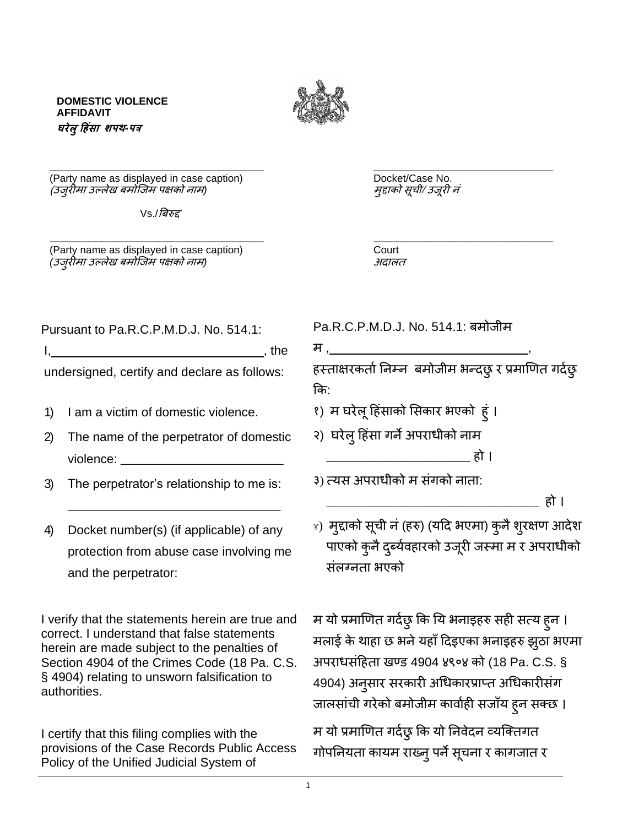1

**DOMESTIC VIOLENCE AFFIDAVIT घरेलुह िंसा शपथ***-***पत्र**

(Party name as displayed in case caption) example and the Docket/Case No. (उजुरीमा उल्लेख बमोजजम पक्षको नाम*)* मुद्दाको सूची/ उजूरी नं

 $Vs$ ./बिरुद्द

(Party name as displayed in case caption) Court *(*उजुरीमा उल्लेख बमोजजम पक्षको नाम*)* अदालत

म <u>, </u> हस्ताक्षरकर्ता निम्न बमोजीम भन्दछ् र प्रमाणित गर्दछ कि:

१) म घरेलूहहंसाको ससकार भएको हुं ।

२) घरेलु हिंसा गर्ने अपराधीको नाम

३) त्यस अपराधीको म संगको नाता:

संलग्नता भएको

\_\_\_\_\_\_\_\_\_\_\_\_\_\_\_\_\_\_\_\_\_\_\_\_\_\_\_\_\_\_\_\_\_\_ हो । ४) मुद्दाको सूची नं (हरु) (यदि भएमा) कुनै शुरक्षण आदेश पाएको कुनै दुर्ब्यवहारको उजूरी जस्मा म र अपराधीको

\_\_\_\_\_\_\_\_\_\_\_\_\_\_\_\_\_\_\_\_\_\_\_ हो ।

म यो प्रमाणित गर्दछ् कि यि भनाइहरु सही सत्य हुन । मलाई के थाहा छ भने यहाँ दिइएका भनाइहरु झुठा भएमा अपराधसंहहता खण्ड 4904 ४९०४ को (18 Pa. C.S. § 4904) अनुसार सरकारी अधधकारप्राप्त अधधकारीसंग जालसांची गरेको बमोजीम कार्वाही सजाँय हुन सक्छ ।

म यो प्रमाणित गर्दछ् कि यो निवेदन व्यक्तिगत गोपनियता कायम राख्न् पर्ने सूचना र कागजात र

Pursuant to Pa.R.C.P.M.D.J. No. 514.1: Pa.R.C.P.M.D.J. No. 514.1: बमोजीम

 $I,$ 

undersigned, certify and declare as follows:

- 1) I am a victim of domestic violence.
- 2) The name of the perpetrator of domestic violence:
- 3) The perpetrator's relationship to me is:
- 4) Docket number(s) (if applicable) of any protection from abuse case involving me and the perpetrator:

\_\_\_\_\_\_\_\_\_\_\_\_\_\_\_\_\_\_\_\_\_\_\_\_\_\_\_\_\_\_\_\_\_\_

I verify that the statements herein are true and correct. I understand that false statements herein are made subject to the penalties of Section 4904 of the Crimes Code (18 Pa. C.S. § 4904) relating to unsworn falsification to authorities.

I certify that this filing complies with the provisions of the Case Records Public Access Policy of the Unified Judicial System of

**\_\_\_\_\_\_\_\_\_\_\_\_\_\_\_\_\_\_\_\_\_\_\_\_\_\_\_\_\_\_\_\_\_\_\_\_\_ \_\_\_\_\_\_\_\_\_\_\_\_\_\_\_\_\_\_\_\_\_\_\_\_\_\_\_\_\_\_\_**

**\_\_\_\_\_\_\_\_\_\_\_\_\_\_\_\_\_\_\_\_\_\_\_\_\_\_\_\_\_\_\_\_\_\_\_\_\_ \_\_\_\_\_\_\_\_\_\_\_\_\_\_\_\_\_\_\_\_\_\_\_\_\_\_\_\_\_\_\_**

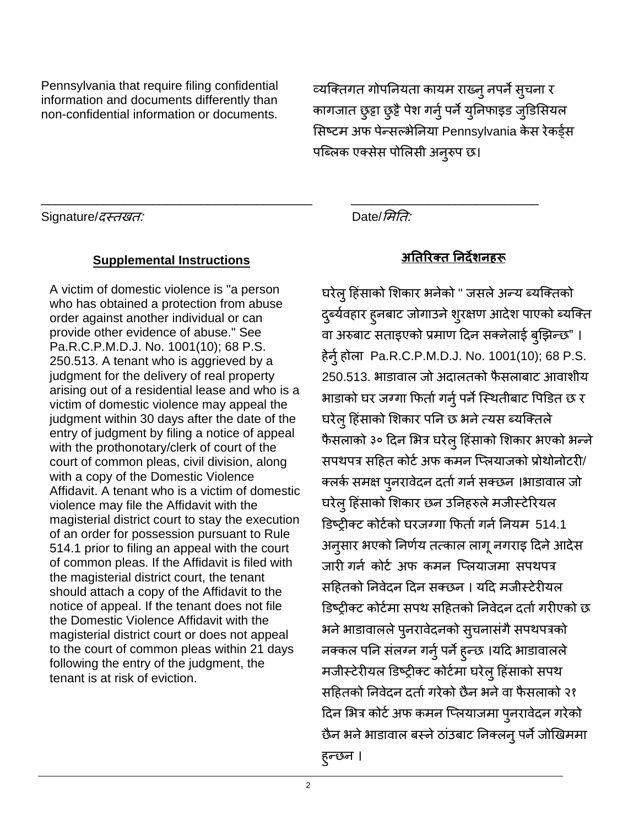Pennsylvania that require filing confidential information and documents differently than non-confidential information or documents.

व्यजक्तगत गोपननयता कायम राख्नुनपनेसुचना र कागजात छुट्टा छुट्टै पेश गर्न् पर्ने युनिफाइड जुडिसियल सिष्टम अफ पेन्सल्भेनिया Pennsylvania केस रेकर्ड्स पब्लिक एक्सेस पोलिसी अनुरुप छ।

Signature/*दस्तखत:* Date/*सिति:* 

## **Supplemental Instructions अतिररक्ि तिर्देशि रू**

A victim of domestic violence is "a person who has obtained a protection from abuse order against another individual or can provide other evidence of abuse." See Pa.R.C.P.M.D.J. No. 1001(10); 68 P.S. 250.513. A tenant who is aggrieved by a judgment for the delivery of real property arising out of a residential lease and who is a victim of domestic violence may appeal the judgment within 30 days after the date of the entry of judgment by filing a notice of appeal with the prothonotary/clerk of court of the court of common pleas, civil division, along with a copy of the Domestic Violence Affidavit. A tenant who is a victim of domestic violence may file the Affidavit with the magisterial district court to stay the execution of an order for possession pursuant to Rule 514.1 prior to filing an appeal with the court of common pleas. If the Affidavit is filed with the magisterial district court, the tenant should attach a copy of the Affidavit to the notice of appeal. If the tenant does not file the Domestic Violence Affidavit with the magisterial district court or does not appeal to the court of common pleas within 21 days following the entry of the judgment, the tenant is at risk of eviction.

 $\overline{\phantom{a}}$  , and the contribution of the contribution of the contribution of the contribution of the contribution of  $\overline{\phantom{a}}$ 

घरेलु हिंसाको शिकार भनेको " जसले अन्य ब्यक्तिको दुर्ब्यवहार हुनबाट जोगाउने शुरक्षण आदेश पाएको ब्यक्ति वा अरुबाट सताइएको प्रमाण दिन सक्नेलाई बुझिन्छ" । हेर्नु होला Pa.R.C.P.M.D.J. No. 1001(10); 68 P.S. 250.513. भाडावाल जो अदालतको फै सलाबाट आवाशीय भाडाको घर जग्गा फिर्ता गर्नु पर्ने स्थितीबाट पिडित छ र घरेलु हिंसाको शिकार पनि छ भने त्यस ब्यक्तिले फै सलाको ३० हदन सभत्र घरेलुहहंसाको सशकार भएको भन्ने सपथपत्र सहित कोर्ट अफ कमन प्लियाजको प्रोथोनोटरी/ क्लर्क समक्ष पुनरावेदन दर्ता गर्न सक्छन ।भाडावाल जो घरेलु हिंसाको शिकार छन उनिहरुले मजीस्टेरियल डिष्ट्रीक्ट कोर्टको घरजग्गा फिर्ता गर्न नियम 514.1 अनुसार भएको ननिाय तत्काल लागूनगराइ हदनेआदेस जारी गर्न कोर्ट अफ कमन प्लियाजमा सपथपत्र सहहतको ननवेदन हदन सक्छन । यहद मजीस्टेरीयल डिष्टीक्ट कोर्टमा सपथ सहितको निवेदन दर्ता गरीएको छ भने भाडावालले पुनरावेदनको सुचनासंगै सपथपत्रको नक्कल पनि संलग्न गर्नु पर्ने हुन्छ ।यदि भाडावालले मजीस्टेरीयल डिष्ट्रीक्ट कोर्टमा घरेलु हिंसाको सपथ सहितको निवेदन दर्ता गरेको छैन भने वा फैसलाको २१ दिन भित्र कोर्ट अफ कमन प्लियाजमा पुनरावेदन गरेको छैन भने भाडावाल बस्ने ठांउबाट निक्लन् पर्ने जोखिममा हुन्छन ।